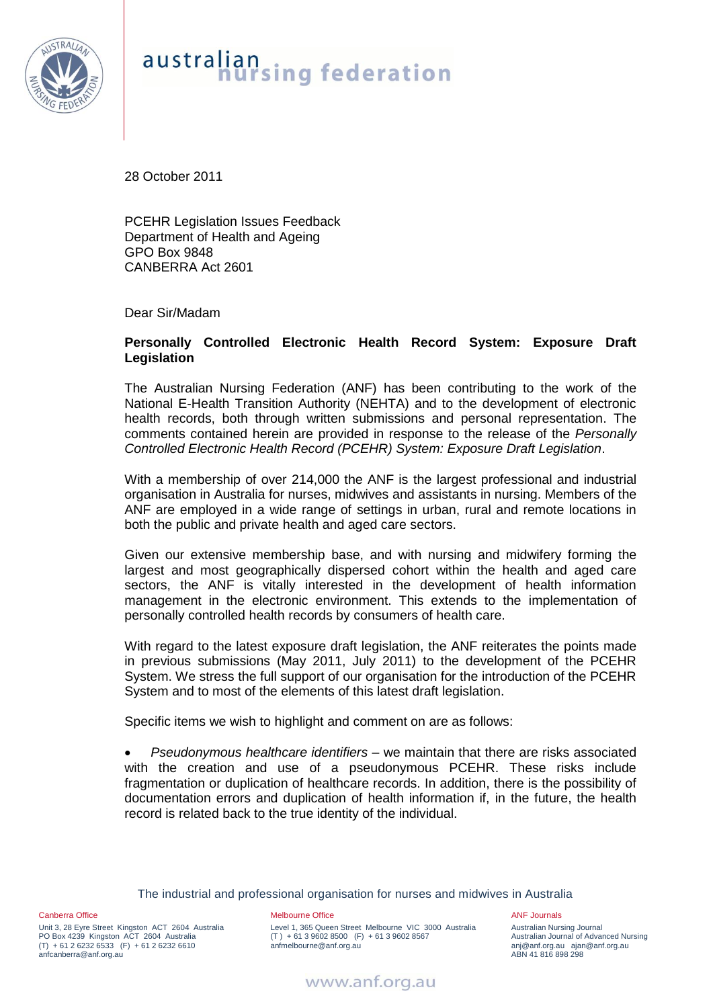

## australian<br>nursing federation

28 October 2011

PCEHR Legislation Issues Feedback Department of Health and Ageing GPO Box 9848 CANBERRA Act 2601

Dear Sir/Madam

## **Personally Controlled Electronic Health Record System: Exposure Draft Legislation**

The Australian Nursing Federation (ANF) has been contributing to the work of the National E-Health Transition Authority (NEHTA) and to the development of electronic health records, both through written submissions and personal representation. The comments contained herein are provided in response to the release of the *Personally Controlled Electronic Health Record (PCEHR) System: Exposure Draft Legislation*.

With a membership of over 214,000 the ANF is the largest professional and industrial organisation in Australia for nurses, midwives and assistants in nursing. Members of the ANF are employed in a wide range of settings in urban, rural and remote locations in both the public and private health and aged care sectors.

Given our extensive membership base, and with nursing and midwifery forming the largest and most geographically dispersed cohort within the health and aged care sectors, the ANF is vitally interested in the development of health information management in the electronic environment. This extends to the implementation of personally controlled health records by consumers of health care.

With regard to the latest exposure draft legislation, the ANF reiterates the points made in previous submissions (May 2011, July 2011) to the development of the PCEHR System. We stress the full support of our organisation for the introduction of the PCEHR System and to most of the elements of this latest draft legislation.

Specific items we wish to highlight and comment on are as follows:

 *Pseudonymous healthcare identifiers* – we maintain that there are risks associated with the creation and use of a pseudonymous PCEHR. These risks include fragmentation or duplication of healthcare records. In addition, there is the possibility of documentation errors and duplication of health information if, in the future, the health record is related back to the true identity of the individual.

The industrial and professional organisation for nurses and midwives in Australia

Canberra Office Unit 3, 28 Eyre Street Kingston ACT 2604 Australia PO Box 4239 Kingston ACT 2604 Australia  $(T) + 61262326533$   $(F) + 61262326610$ anfcanberra@anf.org.au

Melbourne Office

Level 1, 365 Queen Street Melbourne VIC 3000 Australia  $(T) + 61396028500$  (F) + 61 3 9602 8567 anfmelbourne@anf.org.au

ANF Journals Australian Nursing Journal Australian Journal of Advanced Nursing anj@anf.org.au ajan@anf.org.au ABN 41 816 898 298